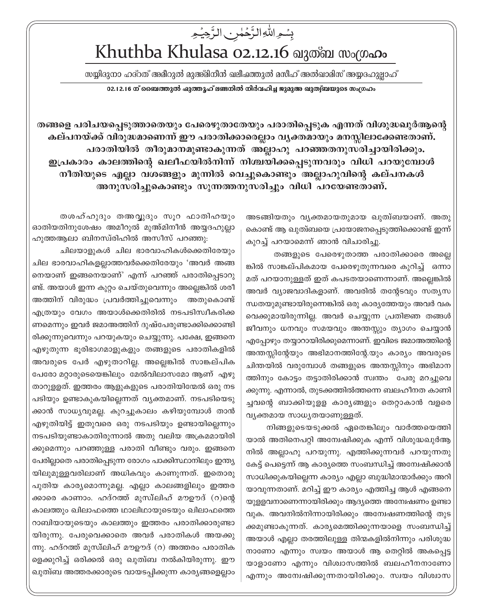## بِسْمِ اللَّهِ الزَّحْمٰنِ الزَّحِيْمِ Khuthba Khulasa 02.12.16 வுணை ஸംமு.

സയ്യിദുനാ ഹദ്റത് അമീറുൽ മുഅ്മിനീൻ ഖലീഷത്തുൽ മസീഹ് അൽഖാമിസ് അയ്യദഹുല്ലാഹ് 02.12.16 ന് ബൈത്തുൽ ഷുത്തൂഹ് ലണ്ടനിൽ നിർവഹിച്ച ജുമുഅ ഖുത്വ്ബയുടെ സംഗ്രഹം

തങ്ങളെ പരിചയപ്പെടുത്താതെയും പേരെഴുതാതേയും പരാതിപ്പെടുക എന്നത് വിശുദ്ധഖുർആന്റെ കല്പനയ്ക്ക് വിരുദ്ധമാണെന്ന് ഈ പരാതിക്കാരെല്ലാം വൃക്തമായും മനസ്സിലാക്കേണ്ടതാണ്. പരാതിയിൽ തീരുമാനമുണ്ടാകുന്നത് അല്ലാഹു പറഞ്ഞതനുസരിച്ചായിരിക്കും. ഇപ്രകാരം കാലത്തിന്റെ ഖലീഫയിൽനിന്ന് നിശ്ചയിക്കപ്പെടുന്നവരും വിധി പറയുമ്പോൾ നീതിയുടെ എല്ലാ വശങ്ങളും മുന്നിൽ വെച്ചുകൊണ്ടും അല്ലാഹുവിന്റെ കല്പനകൾ അനുസരിച്ചുകൊണ്ടും സുന്നത്തനുസരിച്ചും വിധി പറയേണ്ടതാണ്.

> അടങ്ങിയതും വൃക്തമായതുമായ ഖുത്വബയാണ്. അതു കൊണ്ട് ആ ഖുത്വയെ പ്രയോജനപ്പെടുത്തിക്കൊണ്ട് ഇന്ന് കുറച്ച് പറയാമെന്ന് ഞാൻ വിചാരിച്ചു.

> തങ്ങളുടെ പേരെഴുതാത്ത പരാതിക്കാരെ അല്ലെ ങ്കിൽ സാങ്കല്പികമായ പേരെഴുതുന്നവരെ കുറിച്ച് ഒന്നാ മത് പറയാനുള്ളത് ഇത് കപടതയാണെന്നാണ്. അല്ലെങ്കിൽ അവർ വ്യാജവാദികളാണ്. അവരിൽ തന്റേടവും സതൃസ ന്ധതയുമുണ്ടായിരുന്നെങ്കിൽ ഒരു കാര്യത്തേയും അവർ വക വെക്കുമായിരുന്നില്ല. അവർ ചെയ്യുന്ന പ്രതിജ്ഞ തങ്ങൾ ജീവനും ധനവും സമയവും അന്തസ്സും ത്യാഗം ചെയ്യാൻ എപ്പോഴും തയ്യാറായിരിക്കുമെന്നാണ്. ഇവിടെ ജമാഅത്തിന്റെ അന്തസ്സിന്റേയും അഭിമാനത്തിന്റേ.യും കാര്യം അവരുടെ ചിന്തയിൽ വരുമ്പോൾ തങ്ങളുടെ അന്തസ്സിനും അഭിമാന ത്തിനും കോട്ടം തട്ടാതിരിക്കാൻ സ്വന്തം പേരു മറച്ചുവെ ക്കുന്നു. എന്നാൽ, തുടക്കത്തിൽത്തന്നെ ബലഹീനത കാണി ച്ചവന്റെ ബാക്കിയുളള കാര്യങ്ങളും തെറ്റാകാൻ വളരെ വ്യക്തമായ സാധ്യതയാണുള്ളത്.

> നിങ്ങളുടെയടുക്കൽ ഏതെങ്കിലും വാർത്തയെത്തി യാൽ അതിനെപറ്റി അന്വേഷിക്കുക എന്ന് വിശുദ്ധഖുർആ നിൽ അല്ലാഹു പറയുന്നു. എത്തിക്കുന്നവർ പറയുന്നതു കേട്ട് പെട്ടെന്ന് ആ കാര്യത്തെ സംബന്ധിച്ച് അന്വേഷിക്കാൻ സാധിക്കുകയില്ലെന്ന കാര്യം എല്ലാ ബുദ്ധിമാന്മാർക്കും അറി യാവുന്നതാണ്. മറിച്ച് ഈ കാര്യം എത്തിച്ച ആൾ എങ്ങനെ യുള്ളവനാണെന്നായിരിക്കും ആദ്യത്തെ അമ്പേഷണം ഉണ്ടാ വുക. അവനിൽനിന്നായിരിക്കും അന്വേഷണത്തിന്റെ തുട ക്കമുണ്ടാകുന്നത്. കാര്യമെത്തിക്കുന്നയാളെ സംബന്ധിച്ച് അയാൾ എല്ലാ തരത്തിലുള്ള തിന്മകളിൽനിന്നും പരിശുദ്ധ നാണോ എന്നും സ്വയം അയാൾ ആ തെറ്റിൽ അകപ്പെട്ട യാളാണോ എന്നും വിശ്വാസത്തിൽ ബലഹീനനാണോ എന്നും അന്വേഷിക്കുന്നതായിരിക്കും. സ്വയം വിശ്വാസ

തശഹ്ഹുദും തഅവുദും സുറ ഫാതിഹയും ഓതിയതിനുശേഷം അമീറുൽ മുഅ്മിനീൻ അയ്യദഹുല്ലാ ഹുത്തആലാ ബിനസ്രിഹിൽ അസീസ് പറഞ്ഞു:

ചിലയാളുകൾ ചില ഭാരവാഹികൾക്കെതിരേയും ചില ഭാരവാഹികളല്ലാത്തവർക്കെതിരേയും 'അവർ അങ്ങ നെയാണ് ഇങ്ങനെയാണ്' എന്ന് പറഞ്ഞ് പരാതിപ്പെടാറു ണ്ട്. അയാൾ ഇന്ന കുറ്റം ചെയ്തുവെന്നും അല്ലെങ്കിൽ ശരീ അത്തിന് വിരുദ്ധം പ്രവർത്തിച്ചുവെന്നും അതുകൊണ്ട് എത്രയും വേഗം അയാൾക്കെതിരിൽ നടപടിസ്വീകരിക്ക ണമെന്നും ഇവർ ജമാഅത്തിന് ദുഷ്പേരുണ്ടാക്കിക്കൊണ്ടി രിക്കുന്നുവെന്നും പറയുകയും ചെയ്യുന്നു. പക്ഷേ, ഇങ്ങനെ എഴുതുന്ന ഭുരിഭാഗമാളുകളും തങ്ങളുടെ പരാതികളിൽ അവരുടെ പേർ എഴുതാറില്ല. അല്ലെങ്കിൽ സാങ്കല്പിക പേരോ മറ്റാരുടെയെങ്കിലും മേൽവിലാസമോ ആണ് എഴു താറുളളത്. ഇത്തരം ആളുകളുടെ പരാതിയിന്മേൽ ഒരു നട പടിയും ഉണ്ടാകുകയില്ലെന്നത് വ്യക്തമാണ്. നടപടിയെടു ക്കാൻ സാധ്യവുമല്ല. കുറച്ചുകാലം കഴിയുമ്പോൾ താൻ എഴുതിയിട്ട് ഇതുവരെ ഒരു നടപടിയും ഉണ്ടായില്ലെന്നും നടപടിയുണ്ടാകാതിരുന്നാൽ അതു വലിയ അക്രമമായിരി ക്കുമെന്നും പറഞ്ഞുള്ള പരാതി വീണ്ടും വരും. ഇങ്ങനെ പേരില്ലാതെ പരാതിപ്പെടുന്ന രോഗം പാക്കിസ്ഥാനിലും ഇന്ത്യ യിലുമുള്ളവരിലാണ് അധികവും കാണുന്നത്. ഇതൊരു പുതിയ കാര്യമൊന്നുമല്ല. എല്ലാ കാലങ്ങളിലും ഇത്തര ക്കാരെ കാണാം. ഹദ്റത്ത് മുസ്ഥിഹ് മൗഊദ് (റ)ന്റെ കാലത്തും ഖിലാഫത്തെ ഥാലിഥായുടെയും ഖിലാഫത്തെ റാബിയായുടെയും കാലത്തും ഇത്തരം പരാതിക്കാരുണ്ടാ യിരുന്നു. പേരുവെക്കാതെ അവർ പരാതികൾ അയക്കു ന്നു. ഹദ്റത്ത് മുസ്ലിഹ് മൗഊദ് (റ) അത്തരം പരാതിക ളെക്കുറിച്ച് ഒരിക്കൽ ഒരു ഖുത്വ്ബ നൽകിയിരുന്നു. ഈ ഖുത്വബ അത്തരക്കാരുടെ വായടപ്പിക്കുന്ന കാര്യങ്ങളെല്ലാം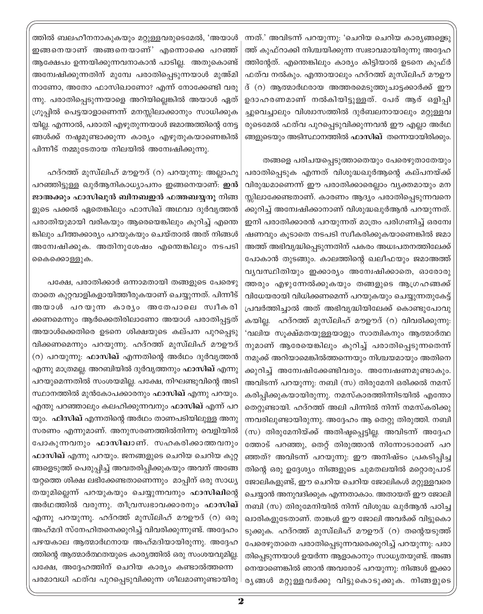ന്നത്.' അവിടന്ന് പറയുന്നു: 'ചെറിയ ചെറിയ കാര്യങ്ങളെടു ത്ത് കുഫ്റാക്കി നിശ്ചയിക്കുന്ന സ്വഭാവമായിരുന്നു അദ്ദേഹ ത്തിന്റേത്. എന്തെങ്കിലും കാര്യം കിട്ടിയാൽ ഉടനെ കുഫ്ർ ഫത്വ നൽകും. എന്തായാലും ഹദ്റത്ത് മുസ്ഥിഹ് മൗഊ ദ് (റ) ആത്മാർഥരായ അത്തരമെടുത്തുചാട്ടക്കാർക്ക് ഈ ഉദാഹരണമാണ് നൽകിയിട്ടുള്ളത്. പേര് ആര് ഒളിപ്പി ച്ചുവെച്ചാലും വിശ്വാസത്തിൽ ദുർബലനായാലും മറ്റുള്ളവ രുടെമേൽ ഫത്വ പുറപ്പെടുവിക്കുന്നവൻ ഈ എല്ലാ അർഥ ങ്ങളുടെയും അടിസ്ഥാനത്തിൽ **ഫാസിഖ്** തന്നെയായിരിക്കും.

തങ്ങളെ പരിചയപ്പെടുത്താതെയും പേരെഴുതാതേയും പരാതിപ്പെടുക എന്നത് വിശുദ്ധഖുർആന്റെ കല്പനയ്ക്ക് വിരുദ്ധമാണെന്ന് ഈ പരാതിക്കാരെല്ലാം വ്യക്തമായും മന സ്സിലാക്കേണ്ടതാണ്. കാരണം ആദ്യം പരാതിപ്പെടുന്നവനെ ക്കുറിച്ച് അന്വേഷിക്കാനാണ് വിശുദ്ധഖുർആൻ പറയുന്നത്. ഇനി പരാതിക്കാരൻ പറയുന്നത് മാത്രം പരിഗണിച്ച് ഒരന്വേ ഷണവും കൂടാതെ നടപടി സ്വീകരിക്കുകയാണെങ്കിൽ ജമാ അത്ത് അഭിവൃദ്ധിപ്പെടുന്നതിന് പകരം അധഃപതനത്തിലേക്ക് പോകാൻ തുടങ്ങും. കാലത്തിന്റെ ഖലീഫയും ജമാഅത്ത് വ്യവസ്ഥിതിയും ഇക്കാര്യം അന്വേഷിക്കാതെ, ഓരോരു ത്തരും എഴുന്നേൽക്കുകയും തങ്ങളുടെ ആഗ്രഹങ്ങക്ക് വിധേയരായി വിധിക്കണമെന്ന് പറയുകയും ചെയ്യുന്നതുകേട്ട് പ്രവർത്തിച്ചാൽ അത് അഭിവൃദ്ധിയിലേക്ക് കൊണ്ടുപോവു കയില്ല. ഹദ്റത്ത് മുസ്ഥിഹ് മൗഊദ് (റ) വിവരിക്കുന്നു: 'വലിയ സൂക്ഷ്മതയുള്ളയാളും സാത്വികനും ആത്മാർത്ഥ നുമാണ് ആരേയെങ്കിലും കുറിച്ച് പരാതിപ്പെടുന്നതെന്ന് നമുക്ക് അറിയാമെങ്കിൽത്തന്നെയും നിശ്ചയമായും അതിനെ ക്കുറിച്ച് അന്വേഷിക്കേണ്ടിവരും. അന്വേഷണമുണ്ടാകും. അവിടന്ന് പറയുന്നു: നബി (സ) തിരുമേനി ഒരിക്കൽ നമസ്

കരിപ്പിക്കുകയായിരുന്നു. നമസ്കാരത്തിന്നിടയിൽ എന്തോ തെറ്റുണ്ടായി. ഹദ്റത്ത് അലി പിന്നിൽ നിന്ന് നമസ്കരിക്കു ന്നവരിലുണ്ടായിരുന്നു. അദ്ദേഹം ആ തെറ്റു തിരുത്തി. നബി (സ) തിരുമേനിയ്ക്ക് അതിഷ്ടപ്പെട്ടില്ല. അവിടന്ന് അദ്ദേഹ ത്തോട് പറഞ്ഞു, തെറ്റ് തിരുത്താൻ നിന്നോടാരാണ് പറ ഞ്ഞത്? അവിടന്ന് പറയുന്നു: ഈ അനിഷ്ടം പ്രകടിപ്പിച്ച തിന്റെ ഒരു ഉദ്ദേശ്യം നിങ്ങളുടെ ചുമതലയിൽ മറ്റൊരുപാട് ജോലികളുണ്ട്, ഈ ചെറിയ ചെറിയ ജോലികൾ മറ്റുള്ളവരെ ചെയ്യാൻ അനുവദിക്കുക എന്നതാകാം. അതായത് ഈ ജോലി നബി (സ) തിരുമേനിയിൽ നിന്ന് വിശുദ്ധ ഖുർആൻ പഠിച്ച ഖാരികളുടേതാണ്. താങ്കൾ ഈ ജോലി അവർക്ക് വിട്ടുകൊ ടുക്കുക. ഹദ്റത്ത് മുസ്ഥിഹ് മൗഊദ് (റ) തന്റെയടുത്ത് പേരെഴുതാതെ പരാതിപ്പെടുന്നവരെക്കുറിച്ച് പറയുന്നു: പരാ തിപ്പെടുന്നയാൾ ഉയർന്ന ആളാകാനും സാധ്യതയുണ്ട്. അങ്ങ നെയാണെങ്കിൽ ഞാൻ അവരോട് പറയുന്നു: നിങ്ങൾ ഇക്കാ രൃങ്ങൾ മറ്റുള്ളവർക്കു വിട്ടുകൊടുക്കുക. നിങ്ങളുടെ

ത്തിൽ ബലഹീനനാകുകയും മറ്റുള്ളവരുടെമേൽ, 'അയാൾ ഇങ്ങനെയാണ് അങ്ങനെയാണ്' എന്നൊക്കെ പറഞ്ഞ് ആക്ഷേപം ഉന്നയിക്കുന്നവനാകാൻ പാടില്ല. അതുകൊണ്ട് അന്വേഷിക്കുന്നതിന് മുമ്പേ പരാതിപ്പെടുന്നയാൾ മുഅ്മി നാണോ, അതോ ഫാസിഖാണോ? എന്ന് നോക്കേണ്ടി വരു ന്നു. പരാതിപ്പെടുന്നയാളെ അറിയില്ലെങ്കിൽ അയാൾ ഏത് ഗ്രൂപ്പിൽ പെട്ടയാളാണെന്ന് മനസ്സിലാക്കാനും സാധിക്കുക യില്ല. എന്നാൽ, പരാതി എഴുതുന്നയാൾ ജമാഅത്തിന്റെ നേട്ട ങ്ങൾക്ക് നഷ്ടമുണ്ടാക്കുന്ന കാര്യം എഴുതുകയാണെങ്കിൽ പിന്നീട് നമ്മുടേതായ നിലയിൽ അന്വേഷിക്കുന്നു.

ഹദ്റത്ത് മുസ്ലിഹ് മൗഊദ് (റ) പറയുന്നു. അല്ലാഹു പറഞ്ഞിട്ടുള്ള ഖുർആനികാധ്യാപനം ഇങ്ങനെയാണ്: ഇൻ ജാഅക്കും ഫാസിഖുൻ ബിനബഇൻ ഫത്തബയ്യനു നിങ്ങ ളുടെ പക്കൽ ഏതെങ്കിലും ഫാസിഖ് അഥവാ ദുർവൃത്തൻ പരാതിയുമായി വരികയും ആരെയെങ്കിലും കുറിച്ച് എന്തെ ങ്കിലും ചീത്തക്കാര്യം പറയുകയും ചെയ്താൽ അത് നിങ്ങൾ അന്വേഷിക്കുക. അതിനുശേഷം എന്തെങ്കിലും നടപടി കൈക്കൊള്ളുക.

പക്ഷേ, പരാതിക്കാർ ഒന്നാമതായി തങ്ങളുടെ പേരെഴു താതെ കുറ്റവാളികളായിത്തീരുകയാണ് ചെയ്യുന്നത്. പിന്നീട് അയാൾ പറയുന്ന കാര്യം അതേപാലെ സ്വീകരി ക്കണമെന്നും ആർക്കെതിരിലാണോ അയാൾ പരാതിപട്ടത് അയാൾക്കെതിരെ ഉടനെ ശിക്ഷയുടെ കല്പന പുറപ്പെടു വിക്കണമെന്നും പറയുന്നു. ഹദ്റത്ത് മുസ്ഥിഹ് മൗഊദ് (റ) പറയുന്നു: ഫാസിഖ് എന്നതിന്റെ അർഥം ദുർവൃത്തൻ എന്നു മാത്രമല്ല. അറബിയിൽ ദുർവൃത്തനും **ഫാസിഖ്** എന്നു പറയുമെന്നതിൽ സംശയമില്ല. പക്ഷേ, നിഘണ്ടുവിന്റെ അടി സ്ഥാനത്തിൽ മുൻകോപക്കാരനും ഫാസിഖ് എന്നു പറയും. എന്തു പറഞ്ഞാലും കലഹിക്കുന്നവനും **ഫാസിഖ്** എന്ന് പറ യും. ഫിസിഖ് എന്നതിന്റെ അർഥം താണപടിയിലുള്ള അനു സരണം എന്നുമാണ്. അനുസരണത്തിൽനിന്നു വെളിയിൽ പോകുന്നവനും **ഫാസിഖാ**ണ്. സഹകരിക്കാത്തവനും ഫാസിഖ് എന്നു പറയും. ജനങ്ങളുടെ ചെറിയ ചെറിയ കുറ്റ ങ്ങളെടുത്ത് പെരുപ്പിച്ച് അവതരിപ്പിക്കുകയും അവന് അങ്ങേ യറ്റത്തെ ശിക്ഷ ലഭിക്കേണ്ടതാണെന്നും മാപ്പിന് ഒരു സാധ്യ തയുമില്ലെന്ന് പറയുകയും ചെയ്യുന്നവനും **ഫാസിഖി**ന്റെ അർഥത്തിൽ വരുന്നു. തീവ്രസ്വഭാവക്കാരനും ഫാസിഖ് എന്നു പറയുന്നു. ഹദ്റത്ത് മുസ്ഥിഹ് മൗഊദ് (റ) ഒരു അഹ്മദി സ്നേഹിതനെക്കുറിച്ച് വിവരിക്കുന്നുണ്ട്. അദ്ദേഹം പഴയകാല ആത്മാർഥനായ അഹ്മദിയായിരുന്നു. അദ്ദേഹ ത്തിന്റെ ആത്മാർത്ഥതയുടെ കാര്യത്തിൽ ഒരു സംശയവുമില്ല. പക്ഷേ, അദ്ദേഹത്തിന് ചെറിയ കാര്യം കണ്ടാൽത്തന്നെ പരമാവധി ഫത്വ പുറപ്പെടുവിക്കുന്ന ശീലമാണുണ്ടായിരു |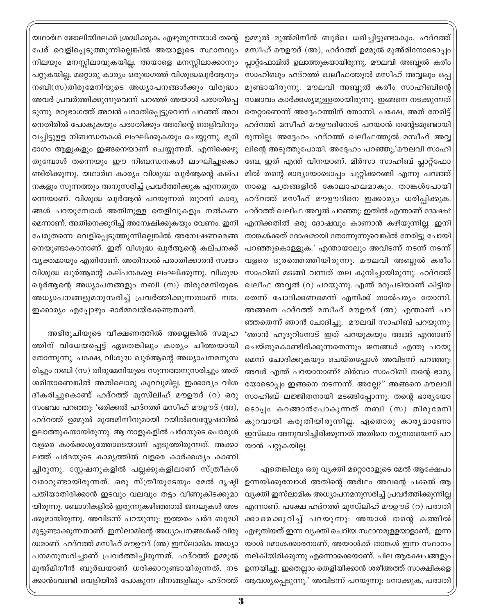ഉമ്മുൽ മുഅ്മിനീൻ ബുർഖ ധരിച്ചിട്ടുണ്ടാകും. ഹദ്റത്ത് മസീഹ് മൗഊദ് (അ), ഹദ്റത്ത് ഉമ്മുൽ മുഅ്മിനോടൊപ്പം പ്ലാറ്റ്ഫോമിൽ ഉലാത്തുകയായിരുന്നു. മൗലവി അബ്ബൽ കരീം സാഹിബും ഹദ്റത്ത് ഖലീഫത്തുൽ മസീഹ് അവ്വലും ഒപ്പ മുണ്ടായിരുന്നു. മൗലവി അബ്ബുൽ കരീം സാഹിബിന്റെ സ്വഭാവം കാർക്കശ്യമുള്ളതായിരുന്നു. ഇങ്ങനെ നടക്കുന്നത് തെറ്റാണെന്ന് അദ്ദേഹത്തിന് തോന്നി. പക്ഷേ, അത് നേരിട്ട് ഹദ്റത്ത് മസീഹ് മൗഊദിനോട് പറയാൻ തന്റേടമുണ്ടായി രുന്നില്ല. അദ്ദേഹം ഹദ്റത്ത് ഖലീഫത്തുൽ മസീഹ് അവ്വ ലിന്റെ അടുത്തുപോയി. അദ്ദേഹം പറഞ്ഞു;'മൗലവി സാഹി ബേ, ഇത് എന്ത് വിനയാണ്. മിർസാ സാഹിബ് പ്ലാറ്റ്ഫോ മിൽ തന്റെ ഭാര്യയോടൊപ്പം ചുറ്റിക്കറങ്ങി എന്നു പറഞ്ഞ് നാളെ പത്രങ്ങളിൽ കോലാഹലമാകും. താങ്കൾപോയി ഹദ്റത്ത് മസീഹ് മൗഊദിനെ ഇക്കാര്യം ധരിപ്പിക്കുക. ഹദ്റത്ത് ഖലീഫ അവ്വൽ പറഞ്ഞു: ഇതിൽ എന്താണ് ദോഷം? എനിക്കതിൽ ഒരു ദോഷവും കാണാൻ കഴിയുന്നില്ല. ഇനി താങ്കൾക്കത് ദോഷമായി തോന്നുന്നുവെങ്കിൽ നേരിട്ടു പോയി പറഞ്ഞുകൊള്ളുക.' എന്തായാലും അവിടന്ന് നടന്ന് നടന്ന് വളരെ ദൂരത്തെത്തിയിരുന്നു. മൗലവി അബ്ബുൽ കരീം സാഹിബ് മടങ്ങി വന്നത് തല കുനിച്ചായിരുന്നു. ഹദ്റത്ത് ഖലീഫ അവൃൽ (റ) പറയുന്നു. എന്ത് മറുപടിയാണ് കിട്ടിയ തെന്ന് ചോദിക്കണമെന്ന് എനിക്ക് താൽപര്യം തോന്നി. അങ്ങനെ ഹദ്റത്ത് മസീഹ് മൗഊദ് (അ) എന്താണ് പറ ഞ്ഞതെന്ന് ഞാൻ ചോദിച്ചു. മൗലവി സാഹിബ് പറയുന്നു: 'ഞാൻ ഹുദൂറിനോട് ഇത് പറയുകയും അങ്ങ് എന്താണ് ചെയ്തുകൊണ്ടിരിക്കുന്നതെന്നും ജനങ്ങൾ എന്തു പറയു മെന്ന് ചോദിക്കുകയും ചെയ്തപ്പോൾ അവിടന്ന് പറഞ്ഞു: അവർ എന്ത് പറയാനാണ്? മിർസാ സാഹിബ് തന്റെ ഭാര്യ യോടൊപ്പം ഇങ്ങനെ നടന്നന്. അല്ലേ?" അങ്ങനെ മൗലവി സാഹിബ് ലജ്ജിതനായി മടങ്ങിപ്പോന്നു. തന്റെ ഭാര്യയോ ടൊപ്പം കറങ്ങാൻപോകുന്നത് നബി (സ) തിരുമേനി കുറവായി കരുതിയിരുന്നില്ല. ഏതൊരു കാര്യമാണോ ഇസ്ലാം അനുവദിച്ചിരിക്കുന്നത് അതിനെ ന്യൂനതയെന്ന് പറ യാൻ പറ്റുകയില്ല.

ഏതെങ്കിലും ഒരു വ്യക്തി മറ്റൊരാളുടെ മേൽ ആക്ഷേപം ഉന്നയിക്കുമ്പോൾ അതിന്റെ അർഥം അവന്റെ പക്കൽ ആ വ്യക്തി ഇസ്ലാമിക അധ്യാപനമനുസരിച്ച് പ്രവർത്തിക്കുന്നില്ല എന്നാണ്. പക്ഷേ ഹദ്റത്ത് മുസ്ഥിഹ് മൗഊദ് (റ) പരാതി ക്കാരെക്കുറിച്ച് പറയുന്നു. അയാൾ തന്റെ കത്തിൽ എഴുതിയത് ഇന്ന വൃക്തി ചെറിയ സ്ഥാനമുള്ളയാളാണ്, ഇന്ന യാൾ മോശക്കാരനാണ്, അയാൾക്ക് താങ്കൾ ഇന്ന സ്ഥാനം നല്കിയിരിക്കുന്നു എന്നൊക്കെയാണ്. ചില ആക്ഷേപങ്ങളും ഉന്നയിച്ചു. ഇതെല്ലാം തെളിയിക്കാൻ ശരീഅത്ത് സാക്ഷികളെ ആവശ്യപ്പെടുന്നു.' അവിടന്ന് പറയുന്നു. നോക്കുക, പരാതി

യഥാർഥ ജോലിയിലേക്ക് ശ്രദ്ധിക്കുക. എഴുതുന്നയാൾ തന്റെ പേര് വെളിപ്പെടുത്തുന്നില്ലെങ്കിൽ അയാളുടെ സ്ഥാനവും നിലയും മനസ്സിലാവുകയില്ല. അയാളെ മനസ്സിലാക്കാനും പറ്റുകയില്ല. മറ്റൊരു കാര്യം ഒരുഭാഗത്ത് വിശുദ്ധഖുർആനും നബി(സ)തിരുമേനിയുടെ അധ്യാപനങ്ങൾക്കും വിരുദ്ധം അവർ പ്രവർത്തിക്കുന്നുവെന്ന് പറഞ്ഞ് അയാൾ പരാതിപ്പെ ടുന്നു. മറുഭാഗത്ത് അവൻ പരാതിപ്പെട്ടുവെന്ന് പറഞ്ഞ് അവ നെതിരിൽ പോകുകയും പരാതിക്കും അതിന്റെ തെളിവിനും വച്ചിട്ടുളള നിബന്ധനകൾ ലംഘിക്കുകയും ചെയ്യുന്നു. ഭൂരി ഭാഗം ആളുകളും ഇങ്ങനെയാണ് ചെയ്യുന്നത്. എനിക്കെഴു തുമ്പോൾ തന്നെയും ഈ നിബന്ധനകൾ ലംഘിച്ചുകൊ ണ്ടിരിക്കുന്നു. യഥാർഥ കാര്യം വിശുദ്ധ ഖുർആന്റെ കല്പ നകളും സുന്നത്തും അനുസരിച്ച് പ്രവർത്തിക്കുക എന്നതുത ന്നെയാണ്. വിശുദ്ധ ഖുർആൻ പറയുന്നത് തുറന്ന് കാര്യ ങ്ങൾ പറയുമ്പോൾ അതിനുള്ള തെളിവുകളും നൽകണ മെന്നാണ്. അതിനെക്കുറിച്ച് അന്വേഷിക്കുകയും വേണം. ഇനി പേരുതന്നെ വെളിപ്പെടുത്തുന്നില്ലെങ്കിൽ അന്വേഷണമെങ്ങ നെയുണ്ടാകാനാണ്. ഇത് വിശുദ്ധ ഖുർആന്റെ കല്പനക്ക് വ്യക്തമായും എതിരാണ്. അതിനാൽ പരാതിക്കാരൻ സ്വയം വിശുദ്ധ ഖുർആന്റെ കല്പനകളെ ലംഘിക്കുന്നു. വിശുദ്ധ ഖുർആന്റെ അധ്യാപനങ്ങളും നബി (സ) തിരുമേനിയുടെ അധ്യാപനങ്ങളുമനുസരിച്ച് പ്രവർത്തിക്കുന്നതാണ് നന്മ. ഇക്കാര്യം എപ്പോഴും ഓർമ്മവയ്ക്കേണ്ടതാണ്.

അഭിരുചിയുടെ വീക്ഷണത്തിൽ അല്ലെങ്കിൽ സമൂഹ ത്തിന് വിധേയപ്പെട്ട് ഏതെങ്കിലും കാര്യം ചീത്തയായി തോന്നുന്നു. പക്ഷേ, വിശുദ്ധ ഖുർആന്റെ അധ്യാപനമനുസ രിച്ചും നബി (സ) തിരുമേനിയുടെ സുന്നത്തനുസരിച്ചും അത് ശരിയാണെങ്കിൽ അതിലൊരു കുറവുമില്ല. ഇക്കാര്യം വിശ ദീകരിച്ചുകൊണ്ട് ഹദ്റത്ത് മുസ്ഥിഹ് മൗഊദ് (റ) ഒരു സംഭവം പറഞ്ഞു: 'ഒരിക്കൽ ഹദ്റത്ത് മസീഹ് മൗഊദ് (അ), ഹദ്റത്ത് ഉമ്മുൽ മുഅമിനീനുമായി റയിൽവെസ്റ്റേഷനിൽ ഉലാത്തുകയായിരുന്നു. ആ നാളുകളിൽ പർദയുടെ പൊരുൾ വളരെ കാർക്കശ്യത്തോടെയാണ് എടുത്തിരുന്നത്. അക്കാ ലത്ത് പർദയുടെ കാര്യത്തിൽ വളരെ കാർക്കശ്യം കാണി ച്ചിരുന്നു. സ്റ്റേഷനുകളിൽ പല്ലക്കുകളിലാണ് സ്ത്രീകൾ വരാറുണ്ടായിരുന്നത്. ഒരു സ്ത്രീയുടേയും മേൽ ദൃഷ്ടി പതിയാതിരിക്കാൻ ഇടവും വലവും തട്ടം വീണുകിടക്കുമാ യിരുന്നു. ബോഗികളിൽ ഇരുന്നുകഴിഞ്ഞാൽ ജനലുകൾ അട ക്കുമായിരുന്നു. അവിടന്ന് പറയുന്നു: ഇത്തരം പർദ ബുദ്ധി മുട്ടുണ്ടാക്കുന്നതാണ്. ഇസ്ലാമിന്റെ അധ്യാപനങ്ങൾക്ക് വിരു ദ്ധമാണ്. ഹദ്റത്ത് മസീഹ് മൗഊദ് (അ) ഇസ്ലാമിക അധ്യാ പനമനുസരിച്ചാണ് പ്രവർത്തിച്ചിരുന്നത്. ഹദ്റത്ത് ഉമ്മുൽ മുഅ്മിനീൻ ബുർഖയാണ് ധരിക്കാറുണ്ടായിരുന്നത്. നട ക്കാൻവേണ്ടി വെളിയിൽ പോകുന്ന ദിനങ്ങളിലും ഹദ്റത്ത്  $\mathord{\vdash}$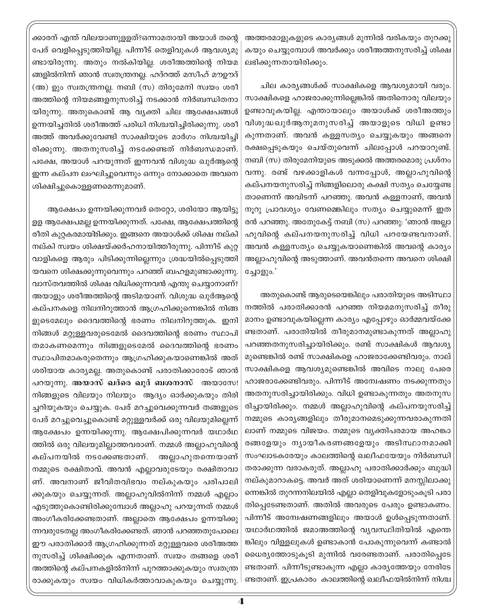ക്കാരന് എന്ത് വിലയാണുളളത്?ഒന്നാമതായി അയാൾ തന്റെ പേര് വെളിപ്പെടുത്തിയില്ല. പിന്നീട് തെളിവുകൾ ആവശ്യമു ണ്ടായിരുന്നു. അതും നൽകിയില്ല. ശരീഅത്തിന്റെ നിയമ ങ്ങളിൽനിന്ന് ഞാൻ സ്വതന്ത്രനല്ല. ഹദ്റത്ത് മസീഹ് മൗഊദ് (അ) ഉും സ്വതന്ത്രനല്ല. നബി (സ) തിരുമേനി സ്വയം ശരീ അത്തിന്റെ നിയമങ്ങളനുസരിച്ച് നടക്കാൻ നിർബന്ധിതനാ യിരുന്നു. അതുകൊണ്ട് ആ വ്യക്തി ചില ആക്ഷേപങ്ങൾ ഉന്നയിച്ചതിൽ ശരീഅത്ത് പരിധി നിശ്ചയിച്ചിരിക്കുന്നു. ശരീ അത്ത് അവർക്കുവേണ്ടി സാക്ഷിയുടെ മാർഗം നിശ്ചയിച്ചി രിക്കുന്നു. അതനുസരിച്ച് നടക്കേണ്ടത് നിർബന്ധമാണ്. പക്ഷേ, അയാൾ പറയുന്നത് ഇന്നവൻ വിശുദ്ധ ഖുർആന്റെ ഇന്ന കല്പന ലംഘിച്ചുവെന്നും ഒന്നും നോക്കാതെ അവനെ ശിക്ഷിച്ചുകൊളളണമെന്നുമാണ്.

ആക്ഷേപം ഉന്നയിക്കുന്നവർ തെറ്റോ, ശരിയോ ആയിട്ടു ളള ആക്ഷേപമല്ല ഉന്നയിക്കുന്നത്. പക്ഷേ, ആക്ഷേപത്തിന്റെ രീതി കുറ്റകരമായിരിക്കും. ഇങ്ങനെ അയാൾക്ക് ശിക്ഷ നല്കി നല്കി സ്വയം ശിക്ഷയ്ക്കർഹനായിത്തീരുന്നു. പിന്നീട് കുറ്റ വാളികളെ ആരും പിടിക്കുന്നില്ലെന്നും ശ്രദ്ധയിൽപ്പെടുത്തി യവനെ ശിക്ഷക്കുന്നുവെന്നും പറഞ്ഞ് ബഹളമുണ്ടാക്കുന്നു. വാസ്തവത്തിൽ ശിക്ഷ വിധിക്കുന്നവൻ എന്തു ചെയ്യാനാണ്? അയാളും ശരീഅത്തിന്റെ അടിമയാണ്. വിശുദ്ധ ഖുർആന്റെ കല്പനകളെ നിലനിറുത്താൻ ആഗ്രഹിക്കുന്നെങ്കിൽ നിങ്ങ ളുടെമേലും ദൈവത്തിന്റെ ഭരണം നിലനിറുത്തുക. ഇനി നിങ്ങൾ മറ്റുള്ളവരുടെമേൽ ദൈവത്തിന്റെ ഭരണം സ്ഥാപി തമാകണമെന്നും നിങ്ങളുടെമേൽ ദൈവത്തിന്റെ ഭരണം സ്ഥാപിതമാകരുതെന്നും ആഗ്രഹിക്കുകയാണെങ്കിൽ അത് ശരിയായ കാര്യമല്ല. അതുകൊണ്ട് പരാതിക്കാരോട് ഞാൻ പറയുന്നു. അയാസ് ഖദ്രെ ഖുദ് ബശനാസ് അയാസേ! നിങ്ങളുടെ വിലയും നിലയും ആദ്യം ഓർക്കുകയും തിരി ച്ചറിയുകയും ചെയ്യുക. പേര് മറച്ചുവെക്കുന്നവർ തങ്ങളുടെ പേര് മറച്ചുവെച്ചുകൊണ്ട് മറ്റുള്ളവർക്ക് ഒരു വിലയുമില്ലെന്ന് ആക്ഷേപം ഉന്നയിക്കുന്നു. ആക്ഷേപിക്കുന്നവർ യഥാർഥ ത്തിൽ ഒരു വിലയുമില്ലാത്തവരാണ്. നമ്മൾ അല്ലാഹുവിന്റെ കല്പനയിൽ നടക്കേണ്ടതാണ്. അല്ലാഹുതന്നെയാണ് നമ്മുടെ രക്ഷിതാവ്. അവൻ എല്ലാവരുടേയും രക്ഷിതാവാ ണ്. അവനാണ് ജീവിതവിഭവം നല്കുകയും പരിപാലി ക്കുകയും ചെയ്യുന്നത്. അല്ലാഹുവിൽനിന്ന് നമ്മൾ എല്ലാം എടുത്തുകൊണ്ടിരിക്കുമ്പോൾ അല്ലാഹു പറയുന്നത് നമ്മൾ അംഗീകരിക്കേണ്ടതാണ്. അല്ലാതെ ആക്ഷേപം ഉന്നയിക്കു ന്നവരുടേതല്ല അംഗീകരിക്കേണ്ടത്. ഞാൻ പറഞ്ഞതുപോലെ ഈ പരാതിക്കാർ ആഗ്രഹിക്കുന്നത് മറ്റുള്ളവരെ ശരീഅത്ത നുസരിച്ച് ശിക്ഷിക്കുക എന്നതാണ്. സ്വയം തങ്ങളെ ശരീ അത്തിന്റെ കല്പനകളിൽനിന്ന് പുറത്താക്കുകയും സ്വതന്ത്ര രാക്കുകയും സ്വയം വിധികർത്താവാകുകയും ചെയ്യുന്നു. അത്തരമാളുകളുടെ കാര്യങ്ങൾ മുന്നിൽ വരികയും തുറക്കു കയും ചെയ്യുമ്പോൾ അവർക്കും ശരീഅത്തനുസരിച്ച് ശിക്ഷ ലഭിക്കുന്നതായിരിക്കും.

ചില കാര്യങ്ങൾക്ക് സാക്ഷികളെ ആവശ്യമായി വരും. സാക്ഷികളെ ഹാജരാക്കുന്നില്ലെങ്കിൽ അതിനൊരു വിലയും ഉണ്ടാവുകയില്ല. എന്തായാലും അയാൾക്ക് ശരീഅത്തും വിശുദ്ധഖുർആനുമനുസരിച്ച് അയാളുടെ വിധി ഉണ്ടാ കുന്നതാണ്. അവൻ കള്ളസത്യം ചെയ്യുകയും അങ്ങനെ രക്ഷപ്പെടുകയും ചെയ്തുവെന്ന് ചിലപ്പോൾ പറയാറുണ്ട്. നബി (സ) തിരുമേനിയുടെ അടുക്കൽ അത്തരമൊരു പ്രശ്നം വന്നു. രണ്ട് വഴക്കാളികൾ വന്നപ്പോൾ, അല്ലാഹുവിന്റെ കല്പനയനുസരിച്ച് നിങ്ങളിലൊരു കക്ഷി സത്യം ചെയ്യേണ്ട താണെന്ന് അവിടന്ന് പറഞ്ഞു. അവൻ കള്ളനാണ്, അവൻ നൂറു പ്രാവശ്യം വേണമെങ്കിലും സത്യം ചെയ്യുമെന്ന് ഇത രൻ പറഞ്ഞു. അതേുകേട്ട് നബി (സ) പറഞ്ഞു: 'ഞാൻ അല്ലാ ഹുവിന്റെ കല്പനയനുസരിച്ച് വിധി പറയേണ്ടവനാണ്. അവൻ കള്ളസത്യം ചെയ്യുകയാണെങ്കിൽ അവന്റെ കാര്യം അല്ലാഹുവിന്റെ അടുത്താണ്. അവൻതന്നെ അവനെ ശിക്ഷി ച്ചോളും.'

അതുകൊണ്ട് ആരുടെയെങ്കിലും പരാതിയുടെ അടിസ്ഥാ നത്തിൽ പരാതിക്കാരൻ പറഞ്ഞ നിയമമനുസരിച്ച് തീരു മാനം ഉണ്ടാവുകയില്ലെന്ന കാര്യം എപ്പോഴും ഓർമ്മവയ്ക്കേ ണ്ടതാണ്. പരാതിയിൽ തീരുമാനമുണ്ടാകുന്നത് അല്ലാഹു പറഞ്ഞതനുസരിച്ചായിരിക്കും. രണ്ട് സാക്ഷികൾ ആവശ്യ മുണ്ടെങ്കിൽ രണ്ട് സാക്ഷികളെ ഹാജരാക്കേണ്ടിവരും. നാല് സാക്ഷികളെ ആവശ്യമുണ്ടെങ്കിൽ അവിടെ നാലു പേരെ ഹാജരാക്കേണ്ടിവരും. പിന്നീട് അന്വേഷണം നടക്കുന്നതും അതനുസരിച്ചായിരിക്കും. വിധി ഉണ്ടാകുന്നതും അതനുസ രിച്ചായിരിക്കും. നമ്മൾ അല്ലാഹുവിന്റെ കല്പനയുസരിച്ച് നമ്മുടെ കാര്യങ്ങളിലും തീരുമാനമെടുക്കുന്നവരാകുന്നതി ലാണ് നമ്മുടെ വിജയം. നമ്മുടെ വ്യക്തിപരമായ അഹങ്കാ രങ്ങളേയും നൃായീകരണങ്ങളേയും അടിസ്ഥാനമാക്കി സംഘാടകരേയും കാലത്തിന്റെ ഖലീഫയേയും നിർബന്ധി തരാക്കുന്ന വരാകരുത്. അല്ലാഹു പരാതിക്കാർക്കും ബുദ്ധി നല്കുമാറാകട്ടെ. അവർ അത് ശരിയാണെന്ന് മനസ്സിലാക്കു ന്നെങ്കിൽ തുറന്നനിലയിൽ എല്ലാ തെളിവുകളോടുംകൂടി പരാ തിപ്പെടേണ്ടതാണ്. അതിൽ അവരുടെ പേരും ഉണ്ടാകണം. പിന്നീട് അന്വേഷണങ്ങളിലും അയാൾ ഉൾപ്പെടുന്നതാണ്. യഥാർഥത്തിൽ ജമാഅത്തിന്റെ വ്യവസ്ഥിതിയിൽ എന്തെ ങ്കിലും വിള്ളലുകൾ ഉണ്ടാകാൻ പോകുന്നുവെന്ന് കണ്ടാൽ ധൈര്യത്തോടുകൂടി മുന്നിൽ വരേണ്ടതാണ്. പരാതിപ്പെടേ ണ്ടതാണ്. പിന്നീടുണ്ടാകുന്ന എല്ലാ കാര്യത്തേയും നേരിടേ ണ്ടതാണ്. ഇപ്രകാരം കാലത്തിന്റെ ഖലീഫയിൽനിന്ന് നിശ്ച